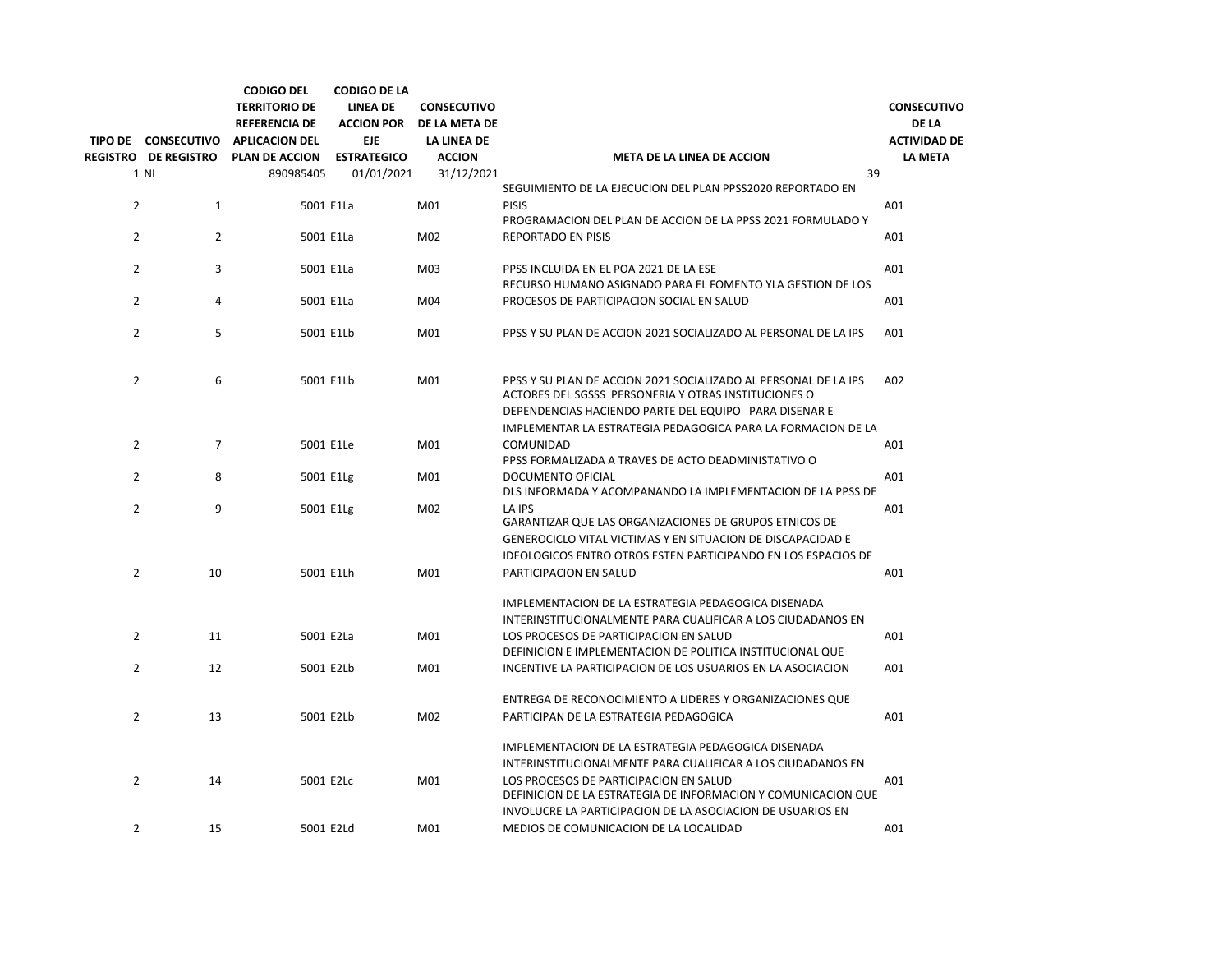|                |                             | <b>CODIGO DEL</b><br><b>TERRITORIO DE</b>     | <b>CODIGO DE LA</b><br><b>LINEA DE</b> | <b>CONSECUTIVO</b><br>ACCION POR DE LA META DE |                                                                                                                                                                                  | <b>CONSECUTIVO</b>                  |
|----------------|-----------------------------|-----------------------------------------------|----------------------------------------|------------------------------------------------|----------------------------------------------------------------------------------------------------------------------------------------------------------------------------------|-------------------------------------|
|                | TIPO DE CONSECUTIVO         | <b>REFERENCIA DE</b><br><b>APLICACION DEL</b> | <b>EJE</b>                             | LA LINEA DE                                    |                                                                                                                                                                                  | <b>DE LA</b><br><b>ACTIVIDAD DE</b> |
|                | <b>REGISTRO DE REGISTRO</b> | <b>PLAN DE ACCION</b>                         | <b>ESTRATEGICO</b>                     | <b>ACCION</b>                                  | <b>META DE LA LINEA DE ACCION</b>                                                                                                                                                | <b>LA META</b>                      |
|                | 1 N                         | 890985405                                     | 01/01/2021                             | 31/12/2021                                     | 39                                                                                                                                                                               |                                     |
|                |                             |                                               |                                        |                                                | SEGUIMIENTO DE LA EJECUCION DEL PLAN PPSS2020 REPORTADO EN                                                                                                                       |                                     |
| $\overline{2}$ | 1                           | 5001 E1La                                     |                                        | M01                                            | <b>PISIS</b>                                                                                                                                                                     | A01                                 |
|                |                             |                                               |                                        |                                                | PROGRAMACION DEL PLAN DE ACCION DE LA PPSS 2021 FORMULADO Y                                                                                                                      |                                     |
| $\overline{2}$ | $\overline{2}$              | 5001 E1La                                     |                                        | M02                                            | <b>REPORTADO EN PISIS</b>                                                                                                                                                        | A01                                 |
| $\overline{2}$ | 3                           | 5001 E1La                                     |                                        | M03                                            | PPSS INCLUIDA EN EL POA 2021 DE LA ESE<br>RECURSO HUMANO ASIGNADO PARA EL FOMENTO YLA GESTION DE LOS                                                                             | A01                                 |
| $\overline{2}$ | 4                           | 5001 E1La                                     |                                        | M04                                            | PROCESOS DE PARTICIPACION SOCIAL EN SALUD                                                                                                                                        | A01                                 |
| $\overline{2}$ | 5                           | 5001 E1Lb                                     |                                        | M01                                            | PPSS Y SU PLAN DE ACCION 2021 SOCIALIZADO AL PERSONAL DE LA IPS                                                                                                                  | A01                                 |
| $\overline{2}$ | 6                           | 5001 E1Lb                                     |                                        | M01                                            | PPSS Y SU PLAN DE ACCION 2021 SOCIALIZADO AL PERSONAL DE LA IPS<br>ACTORES DEL SGSSS PERSONERIA Y OTRAS INSTITUCIONES O<br>DEPENDENCIAS HACIENDO PARTE DEL EQUIPO PARA DISENAR E | A02                                 |
|                |                             |                                               |                                        |                                                |                                                                                                                                                                                  |                                     |
| $\overline{2}$ | $\overline{7}$              |                                               |                                        |                                                | IMPLEMENTAR LA ESTRATEGIA PEDAGOGICA PARA LA FORMACION DE LA                                                                                                                     |                                     |
|                |                             | 5001 E1Le                                     |                                        | M01                                            | COMUNIDAD<br>PPSS FORMALIZADA A TRAVES DE ACTO DEADMINISTATIVO O                                                                                                                 | A01                                 |
| $\overline{2}$ | 8                           | 5001 E1Lg                                     |                                        | M01                                            | <b>DOCUMENTO OFICIAL</b><br>DLS INFORMADA Y ACOMPANANDO LA IMPLEMENTACION DE LA PPSS DE                                                                                          | A01                                 |
| $\overline{2}$ | 9                           | 5001 E1Lg                                     |                                        | M02                                            | LA IPS<br><b>GARANTIZAR QUE LAS ORGANIZACIONES DE GRUPOS ETNICOS DE</b>                                                                                                          | A01                                 |
|                |                             |                                               |                                        |                                                | GENEROCICLO VITAL VICTIMAS Y EN SITUACION DE DISCAPACIDAD E                                                                                                                      |                                     |
|                |                             |                                               |                                        |                                                | IDEOLOGICOS ENTRO OTROS ESTEN PARTICIPANDO EN LOS ESPACIOS DE                                                                                                                    |                                     |
| $\overline{2}$ | 10                          | 5001 E1Lh                                     |                                        | M01                                            | <b>PARTICIPACION EN SALUD</b>                                                                                                                                                    | A01                                 |
|                |                             |                                               |                                        |                                                | IMPLEMENTACION DE LA ESTRATEGIA PEDAGOGICA DISENADA                                                                                                                              |                                     |
|                |                             |                                               |                                        |                                                | INTERINSTITUCIONALMENTE PARA CUALIFICAR A LOS CIUDADANOS EN                                                                                                                      |                                     |
| $\overline{2}$ | 11                          | 5001 E2La                                     |                                        | M01                                            | LOS PROCESOS DE PARTICIPACION EN SALUD                                                                                                                                           | A01                                 |
|                |                             |                                               |                                        |                                                | DEFINICION E IMPLEMENTACION DE POLITICA INSTITUCIONAL QUE                                                                                                                        |                                     |
| $\overline{2}$ | 12                          | 5001 E2Lb                                     |                                        | M01                                            | INCENTIVE LA PARTICIPACION DE LOS USUARIOS EN LA ASOCIACION                                                                                                                      | A01                                 |
|                |                             |                                               |                                        |                                                | ENTREGA DE RECONOCIMIENTO A LIDERES Y ORGANIZACIONES QUE                                                                                                                         |                                     |
| $\overline{2}$ | 13                          | 5001 E2Lb                                     |                                        | M02                                            | PARTICIPAN DE LA ESTRATEGIA PEDAGOGICA                                                                                                                                           | A01                                 |
|                |                             |                                               |                                        |                                                | IMPLEMENTACION DE LA ESTRATEGIA PEDAGOGICA DISENADA                                                                                                                              |                                     |
|                |                             |                                               |                                        |                                                | INTERINSTITUCIONALMENTE PARA CUALIFICAR A LOS CIUDADANOS EN                                                                                                                      |                                     |
| $\overline{2}$ | 14                          | 5001 E2Lc                                     |                                        | M01                                            | LOS PROCESOS DE PARTICIPACION EN SALUD<br>DEFINICION DE LA ESTRATEGIA DE INFORMACION Y COMUNICACION QUE                                                                          | A01                                 |
|                |                             |                                               |                                        |                                                | INVOLUCRE LA PARTICIPACION DE LA ASOCIACION DE USUARIOS EN                                                                                                                       |                                     |
| $\overline{2}$ | 15                          | 5001 E2Ld                                     |                                        | M01                                            | MEDIOS DE COMUNICACION DE LA LOCALIDAD                                                                                                                                           | A01                                 |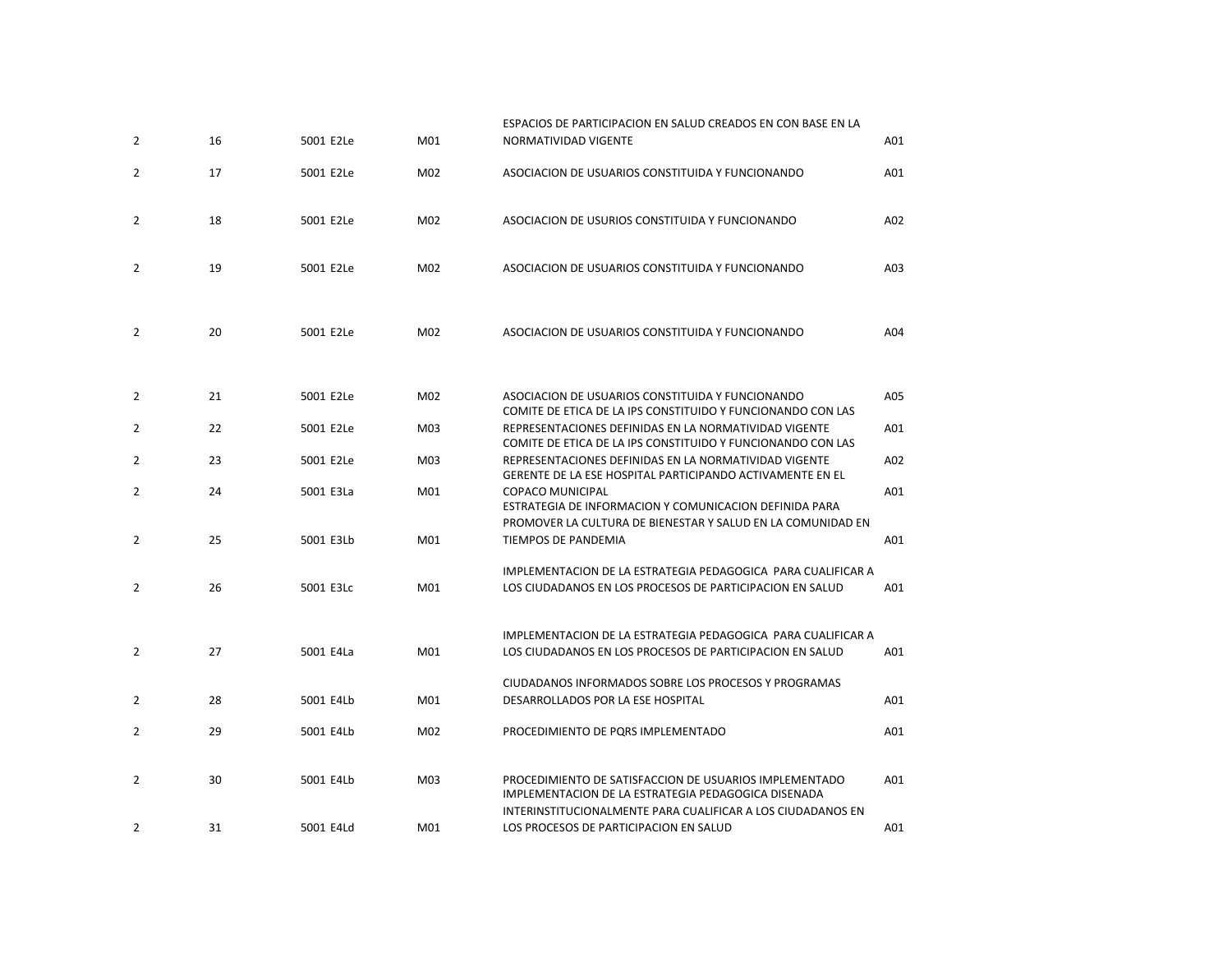| $\overline{2}$ | 16 | 5001 E2Le | M <sub>01</sub> | ESPACIOS DE PARTICIPACION EN SALUD CREADOS EN CON BASE EN LA<br>NORMATIVIDAD VIGENTE                                                           | A01 |
|----------------|----|-----------|-----------------|------------------------------------------------------------------------------------------------------------------------------------------------|-----|
| $\overline{2}$ | 17 | 5001 E2Le | M02             | ASOCIACION DE USUARIOS CONSTITUIDA Y FUNCIONANDO                                                                                               | A01 |
| $\overline{2}$ | 18 | 5001 E2Le | M02             | ASOCIACION DE USURIOS CONSTITUIDA Y FUNCIONANDO                                                                                                | A02 |
| 2              | 19 | 5001 E2Le | M02             | ASOCIACION DE USUARIOS CONSTITUIDA Y FUNCIONANDO                                                                                               | A03 |
| $\overline{2}$ | 20 | 5001 E2Le | M02             | ASOCIACION DE USUARIOS CONSTITUIDA Y FUNCIONANDO                                                                                               | A04 |
| $\overline{2}$ | 21 | 5001 E2Le | M02             | ASOCIACION DE USUARIOS CONSTITUIDA Y FUNCIONANDO                                                                                               | A05 |
| $\overline{2}$ | 22 | 5001 E2Le | M03             | COMITE DE ETICA DE LA IPS CONSTITUIDO Y FUNCIONANDO CON LAS<br>REPRESENTACIONES DEFINIDAS EN LA NORMATIVIDAD VIGENTE                           | A01 |
| $\overline{2}$ | 23 | 5001 E2Le | M03             | COMITE DE ETICA DE LA IPS CONSTITUIDO Y FUNCIONANDO CON LAS<br>REPRESENTACIONES DEFINIDAS EN LA NORMATIVIDAD VIGENTE                           | A02 |
| $\overline{2}$ | 24 | 5001 E3La | M01             | GERENTE DE LA ESE HOSPITAL PARTICIPANDO ACTIVAMENTE EN EL<br><b>COPACO MUNICIPAL</b><br>ESTRATEGIA DE INFORMACION Y COMUNICACION DEFINIDA PARA | A01 |
| $\overline{2}$ | 25 | 5001 E3Lb | M01             | PROMOVER LA CULTURA DE BIENESTAR Y SALUD EN LA COMUNIDAD EN<br><b>TIEMPOS DE PANDEMIA</b>                                                      | A01 |
| $\overline{2}$ | 26 | 5001 E3Lc | M01             | IMPLEMENTACION DE LA ESTRATEGIA PEDAGOGICA PARA CUALIFICAR A<br>LOS CIUDADANOS EN LOS PROCESOS DE PARTICIPACION EN SALUD                       | A01 |
| $\overline{2}$ | 27 | 5001 E4La | M01             | IMPLEMENTACION DE LA ESTRATEGIA PEDAGOGICA PARA CUALIFICAR A<br>LOS CIUDADANOS EN LOS PROCESOS DE PARTICIPACION EN SALUD                       | A01 |
|                |    |           |                 | CIUDADANOS INFORMADOS SOBRE LOS PROCESOS Y PROGRAMAS                                                                                           |     |
| 2              | 28 | 5001 E4Lb | M01             | DESARROLLADOS POR LA ESE HOSPITAL                                                                                                              | A01 |
| $\overline{2}$ | 29 | 5001 E4Lb | M02             | PROCEDIMIENTO DE PQRS IMPLEMENTADO                                                                                                             | A01 |
| $\overline{2}$ | 30 | 5001 E4Lb | M03             | PROCEDIMIENTO DE SATISFACCION DE USUARIOS IMPLEMENTADO<br>IMPLEMENTACION DE LA ESTRATEGIA PEDAGOGICA DISENADA                                  | A01 |
| $\overline{2}$ | 31 | 5001 E4Ld | M01             | INTERINSTITUCIONALMENTE PARA CUALIFICAR A LOS CIUDADANOS EN<br>LOS PROCESOS DE PARTICIPACION EN SALUD                                          | A01 |
|                |    |           |                 |                                                                                                                                                |     |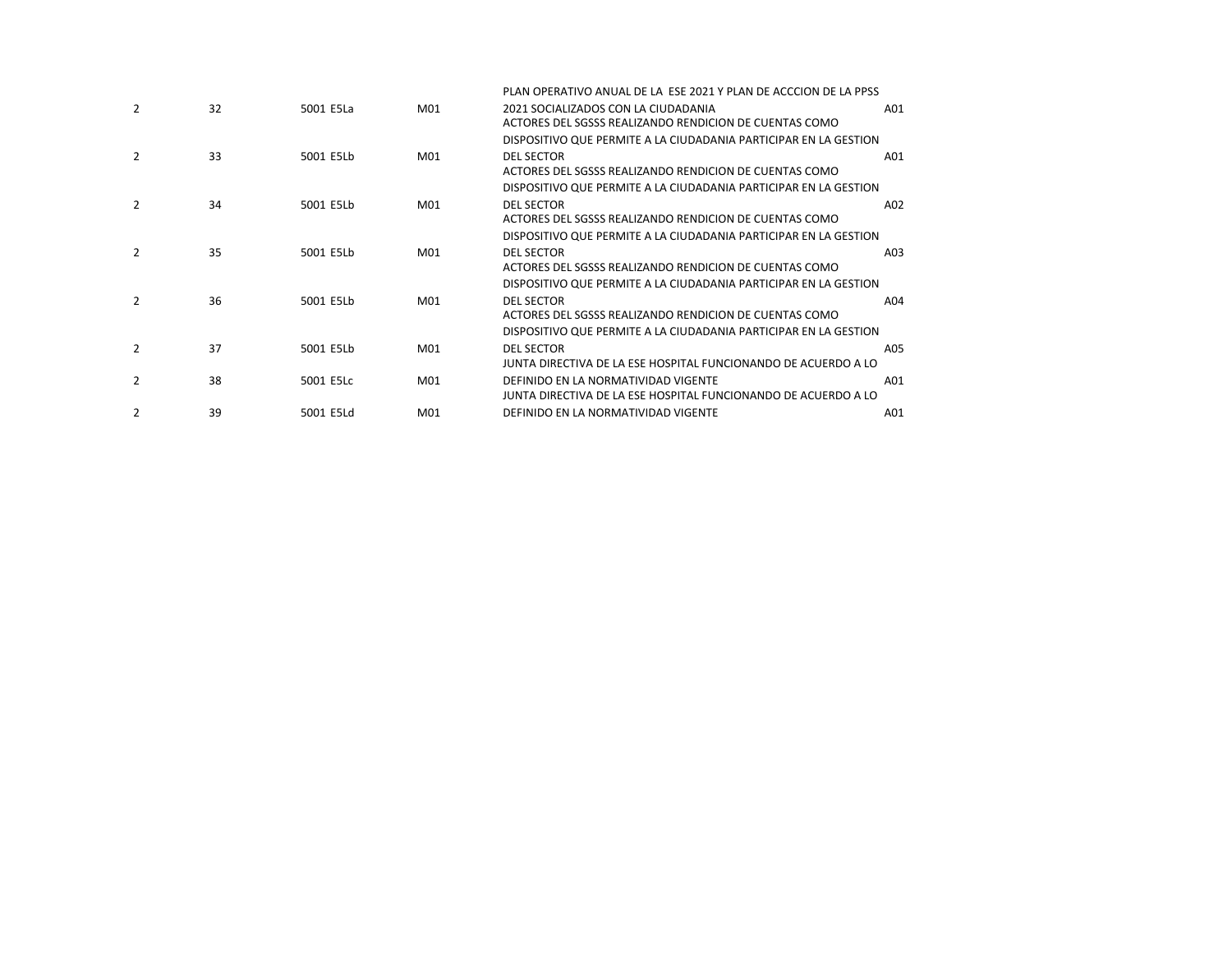|               |    |           |                 | PLAN OPERATIVO ANUAL DE LA ESE 2021 Y PLAN DE ACCCION DE LA PPSS                                                                                |     |
|---------------|----|-----------|-----------------|-------------------------------------------------------------------------------------------------------------------------------------------------|-----|
| 2             | 32 | 5001 E5La | M01             | 2021 SOCIALIZADOS CON LA CIUDADANIA<br>ACTORES DEL SGSSS REALIZANDO RENDICION DE CUENTAS COMO                                                   | A01 |
|               |    |           |                 | DISPOSITIVO QUE PERMITE A LA CIUDADANIA PARTICIPAR EN LA GESTION                                                                                |     |
| 2             | 33 | 5001 E5Lb | M01             | <b>DEL SECTOR</b><br>ACTORES DEL SGSSS REALIZANDO RENDICION DE CUENTAS COMO                                                                     | A01 |
|               |    |           |                 | DISPOSITIVO QUE PERMITE A LA CIUDADANIA PARTICIPAR EN LA GESTION                                                                                |     |
| $\mathcal{P}$ | 34 | 5001 E5Lb | M <sub>01</sub> | <b>DEL SECTOR</b><br>ACTORES DEL SGSSS REALIZANDO RENDICION DE CUENTAS COMO                                                                     | A02 |
|               |    |           |                 | DISPOSITIVO QUE PERMITE A LA CIUDADANIA PARTICIPAR EN LA GESTION                                                                                |     |
| $\mathcal{P}$ | 35 | 5001 E5Lb | M01             | <b>DEL SECTOR</b><br>ACTORES DEL SGSSS REALIZANDO RENDICION DE CUENTAS COMO                                                                     | A03 |
|               |    |           |                 | DISPOSITIVO QUE PERMITE A LA CIUDADANIA PARTICIPAR EN LA GESTION                                                                                |     |
| $\mathcal{P}$ | 36 | 5001 E5Lb | M01             | <b>DEL SECTOR</b><br>ACTORES DEL SGSSS REALIZANDO RENDICION DE CUENTAS COMO<br>DISPOSITIVO QUE PERMITE A LA CIUDADANIA PARTICIPAR EN LA GESTION | A04 |
| $\mathcal{P}$ | 37 | 5001 E5Lb | M <sub>01</sub> | <b>DEL SECTOR</b><br>JUNTA DIRECTIVA DE LA ESE HOSPITAL FUNCIONANDO DE ACUERDO A LO                                                             | A05 |
| 2             | 38 | 5001 E5Lc | M01             | DEFINIDO EN LA NORMATIVIDAD VIGENTE<br>JUNTA DIRECTIVA DE LA ESE HOSPITAL FUNCIONANDO DE ACUERDO A LO                                           | A01 |
|               | 39 | 5001 E5Ld | M01             | DEFINIDO EN LA NORMATIVIDAD VIGENTE                                                                                                             | A01 |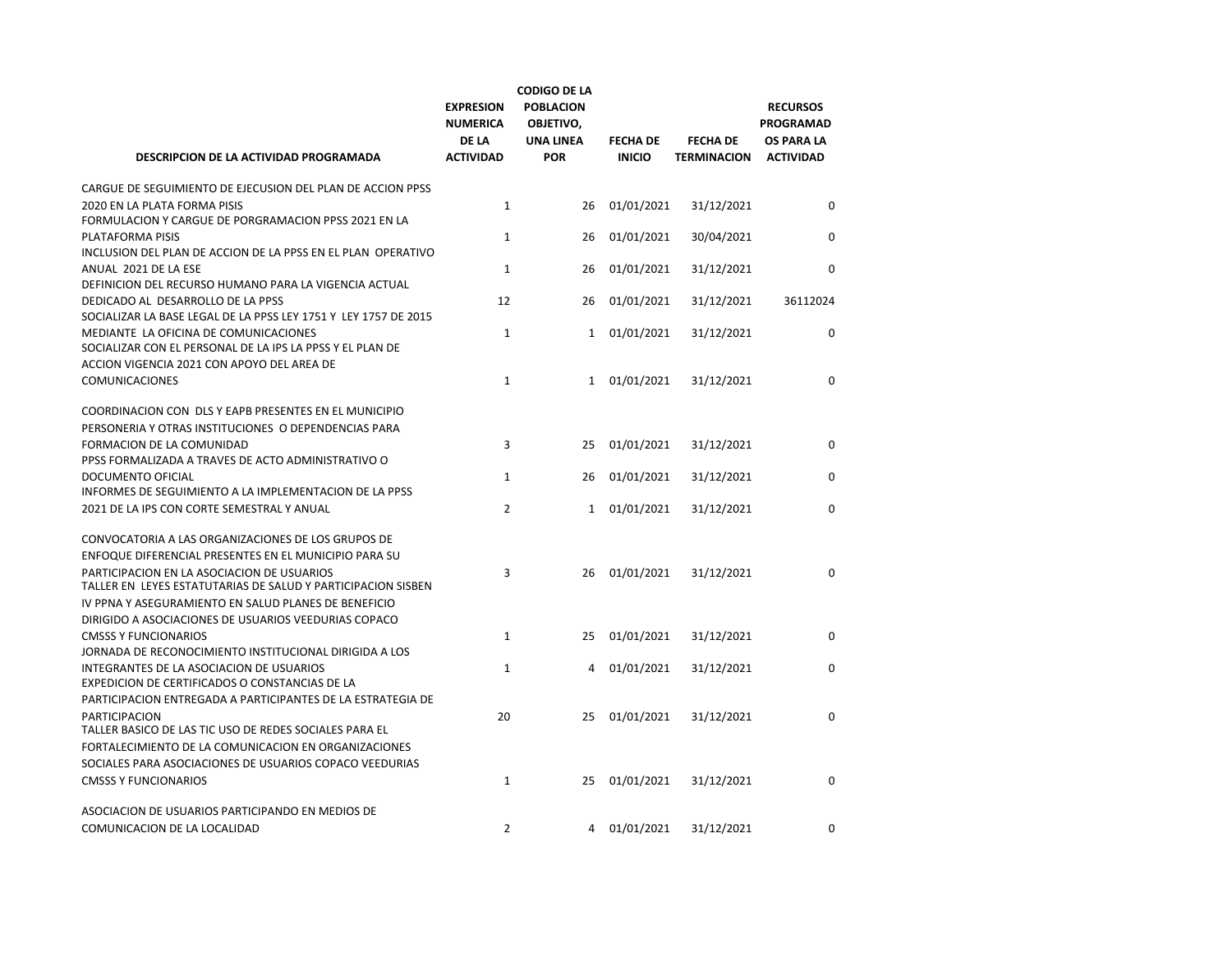| DESCRIPCION DE LA ACTIVIDAD PROGRAMADA                                                                                                                                | <b>EXPRESION</b><br><b>NUMERICA</b><br><b>DE LA</b><br><b>ACTIVIDAD</b> | <b>CODIGO DE LA</b><br><b>POBLACION</b><br>OBJETIVO,<br><b>UNA LINEA</b><br><b>POR</b> | <b>FECHA DE</b><br><b>INICIO</b> | <b>FECHA DE</b><br><b>TERMINACION</b> | <b>RECURSOS</b><br><b>PROGRAMAD</b><br><b>OS PARA LA</b><br><b>ACTIVIDAD</b> |
|-----------------------------------------------------------------------------------------------------------------------------------------------------------------------|-------------------------------------------------------------------------|----------------------------------------------------------------------------------------|----------------------------------|---------------------------------------|------------------------------------------------------------------------------|
| CARGUE DE SEGUIMIENTO DE EJECUSION DEL PLAN DE ACCION PPSS                                                                                                            |                                                                         |                                                                                        |                                  |                                       |                                                                              |
| 2020 EN LA PLATA FORMA PISIS                                                                                                                                          | $\mathbf{1}$                                                            | 26                                                                                     | 01/01/2021                       | 31/12/2021                            | $\Omega$                                                                     |
| FORMULACION Y CARGUE DE PORGRAMACION PPSS 2021 EN LA<br>PLATAFORMA PISIS                                                                                              | $\mathbf{1}$                                                            | 26                                                                                     | 01/01/2021                       | 30/04/2021                            | $\mathbf 0$                                                                  |
| INCLUSION DEL PLAN DE ACCION DE LA PPSS EN EL PLAN OPERATIVO<br>ANUAL 2021 DE LA ESE                                                                                  | $\mathbf{1}$                                                            | 26                                                                                     | 01/01/2021                       | 31/12/2021                            | 0                                                                            |
| DEFINICION DEL RECURSO HUMANO PARA LA VIGENCIA ACTUAL                                                                                                                 |                                                                         |                                                                                        |                                  |                                       |                                                                              |
| DEDICADO AL DESARROLLO DE LA PPSS                                                                                                                                     | 12                                                                      | 26                                                                                     | 01/01/2021                       | 31/12/2021                            | 36112024                                                                     |
| SOCIALIZAR LA BASE LEGAL DE LA PPSS LEY 1751 Y LEY 1757 DE 2015<br>MEDIANTE LA OFICINA DE COMUNICACIONES<br>SOCIALIZAR CON EL PERSONAL DE LA IPS LA PPSS Y EL PLAN DE | $\mathbf{1}$                                                            | $\mathbf{1}$                                                                           | 01/01/2021                       | 31/12/2021                            | $\mathbf 0$                                                                  |
| ACCION VIGENCIA 2021 CON APOYO DEL AREA DE                                                                                                                            |                                                                         |                                                                                        |                                  |                                       |                                                                              |
| <b>COMUNICACIONES</b>                                                                                                                                                 | $\mathbf{1}$                                                            | $\mathbf{1}$                                                                           | 01/01/2021                       | 31/12/2021                            | 0                                                                            |
| COORDINACION CON DLS Y EAPB PRESENTES EN EL MUNICIPIO                                                                                                                 |                                                                         |                                                                                        |                                  |                                       |                                                                              |
| PERSONERIA Y OTRAS INSTITUCIONES O DEPENDENCIAS PARA                                                                                                                  |                                                                         |                                                                                        |                                  |                                       |                                                                              |
| FORMACION DE LA COMUNIDAD<br>PPSS FORMALIZADA A TRAVES DE ACTO ADMINISTRATIVO O                                                                                       | 3                                                                       | 25                                                                                     | 01/01/2021                       | 31/12/2021                            | 0                                                                            |
| DOCUMENTO OFICIAL                                                                                                                                                     | 1                                                                       | 26                                                                                     | 01/01/2021                       | 31/12/2021                            | 0                                                                            |
| INFORMES DE SEGUIMIENTO A LA IMPLEMENTACION DE LA PPSS<br>2021 DE LA IPS CON CORTE SEMESTRAL Y ANUAL                                                                  | 2                                                                       | $\mathbf{1}$                                                                           | 01/01/2021                       | 31/12/2021                            | 0                                                                            |
| CONVOCATORIA A LAS ORGANIZACIONES DE LOS GRUPOS DE                                                                                                                    |                                                                         |                                                                                        |                                  |                                       |                                                                              |
| ENFOQUE DIFERENCIAL PRESENTES EN EL MUNICIPIO PARA SU                                                                                                                 |                                                                         |                                                                                        |                                  |                                       |                                                                              |
| PARTICIPACION EN LA ASOCIACION DE USUARIOS<br>TALLER EN LEYES ESTATUTARIAS DE SALUD Y PARTICIPACION SISBEN                                                            | 3                                                                       | 26                                                                                     | 01/01/2021                       | 31/12/2021                            | $\Omega$                                                                     |
| IV PPNA Y ASEGURAMIENTO EN SALUD PLANES DE BENEFICIO                                                                                                                  |                                                                         |                                                                                        |                                  |                                       |                                                                              |
| DIRIGIDO A ASOCIACIONES DE USUARIOS VEEDURIAS COPACO                                                                                                                  |                                                                         |                                                                                        |                                  |                                       |                                                                              |
| <b>CMSSS Y FUNCIONARIOS</b><br>JORNADA DE RECONOCIMIENTO INSTITUCIONAL DIRIGIDA A LOS                                                                                 | $\mathbf{1}$                                                            | 25                                                                                     | 01/01/2021                       | 31/12/2021                            | $\Omega$                                                                     |
| INTEGRANTES DE LA ASOCIACION DE USUARIOS<br>EXPEDICION DE CERTIFICADOS O CONSTANCIAS DE LA                                                                            | $\mathbf{1}$                                                            | 4                                                                                      | 01/01/2021                       | 31/12/2021                            | $\Omega$                                                                     |
| PARTICIPACION ENTREGADA A PARTICIPANTES DE LA ESTRATEGIA DE                                                                                                           |                                                                         |                                                                                        |                                  |                                       |                                                                              |
| <b>PARTICIPACION</b><br>TALLER BASICO DE LAS TIC USO DE REDES SOCIALES PARA EL                                                                                        | 20                                                                      | 25                                                                                     | 01/01/2021                       | 31/12/2021                            | $\Omega$                                                                     |
| FORTALECIMIENTO DE LA COMUNICACION EN ORGANIZACIONES                                                                                                                  |                                                                         |                                                                                        |                                  |                                       |                                                                              |
| SOCIALES PARA ASOCIACIONES DE USUARIOS COPACO VEEDURIAS                                                                                                               |                                                                         |                                                                                        |                                  |                                       |                                                                              |
| <b>CMSSS Y FUNCIONARIOS</b>                                                                                                                                           | $\mathbf{1}$                                                            | 25                                                                                     | 01/01/2021                       | 31/12/2021                            | 0                                                                            |
| ASOCIACION DE USUARIOS PARTICIPANDO EN MEDIOS DE                                                                                                                      |                                                                         |                                                                                        |                                  |                                       |                                                                              |
| COMUNICACION DE LA LOCALIDAD                                                                                                                                          | $\overline{2}$                                                          | 4                                                                                      | 01/01/2021                       | 31/12/2021                            | $\Omega$                                                                     |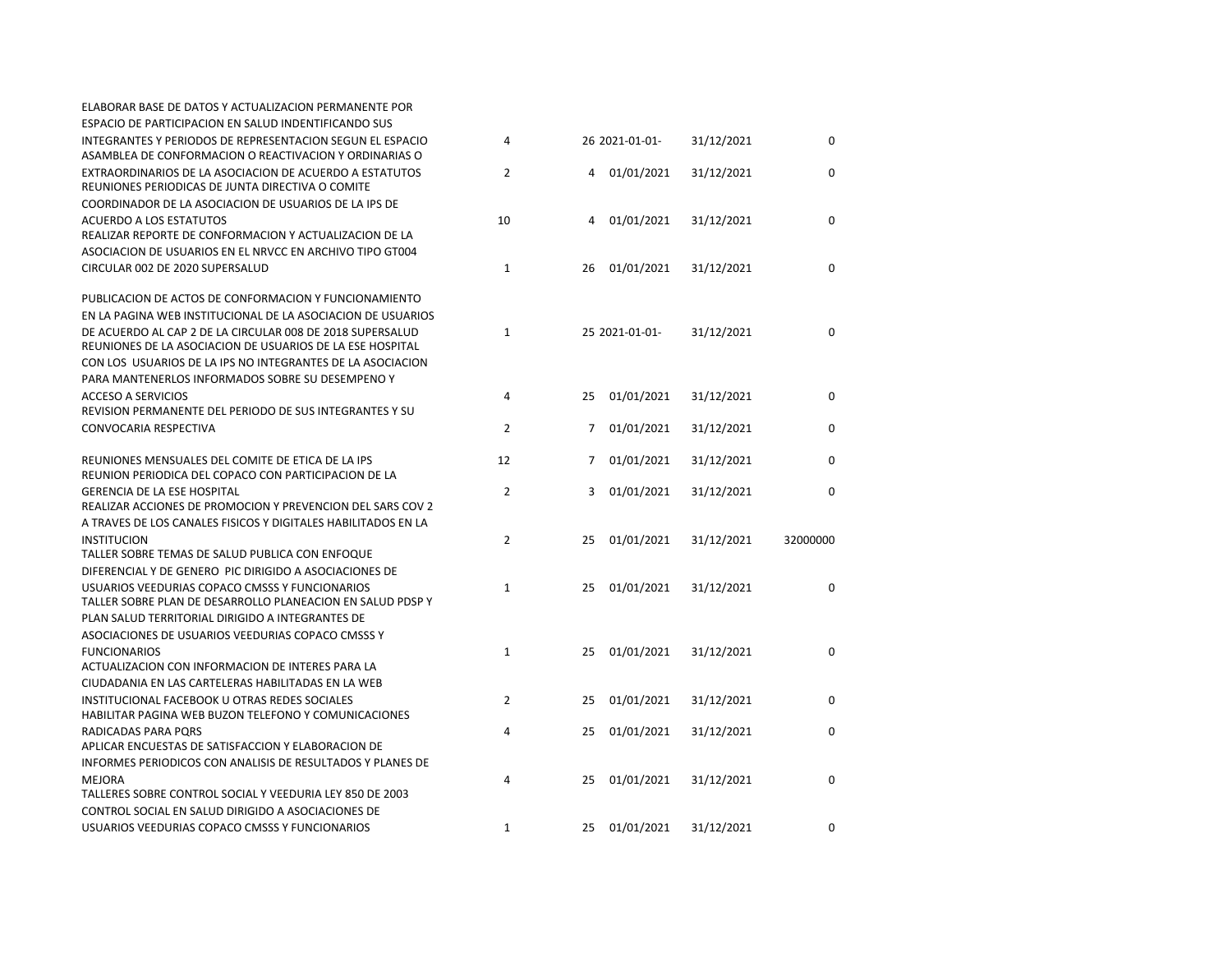| ELABORAR BASE DE DATOS Y ACTUALIZACION PERMANENTE POR                                                                  |                |                           |            |             |  |
|------------------------------------------------------------------------------------------------------------------------|----------------|---------------------------|------------|-------------|--|
| ESPACIO DE PARTICIPACION EN SALUD INDENTIFICANDO SUS                                                                   |                |                           |            |             |  |
| INTEGRANTES Y PERIODOS DE REPRESENTACION SEGUN EL ESPACIO                                                              | $\overline{4}$ | 26 2021-01-01-            | 31/12/2021 | $\mathbf 0$ |  |
| ASAMBLEA DE CONFORMACION O REACTIVACION Y ORDINARIAS O                                                                 |                |                           |            |             |  |
| EXTRAORDINARIOS DE LA ASOCIACION DE ACUERDO A ESTATUTOS                                                                | $\overline{2}$ | 01/01/2021<br>4           | 31/12/2021 | $\mathbf 0$ |  |
| REUNIONES PERIODICAS DE JUNTA DIRECTIVA O COMITE                                                                       |                |                           |            |             |  |
| COORDINADOR DE LA ASOCIACION DE USUARIOS DE LA IPS DE                                                                  |                |                           |            |             |  |
| <b>ACUERDO A LOS ESTATUTOS</b>                                                                                         | 10             | 01/01/2021<br>4           | 31/12/2021 | $\Omega$    |  |
| REALIZAR REPORTE DE CONFORMACION Y ACTUALIZACION DE LA                                                                 |                |                           |            |             |  |
| ASOCIACION DE USUARIOS EN EL NRVCC EN ARCHIVO TIPO GT004                                                               |                |                           |            |             |  |
| CIRCULAR 002 DE 2020 SUPERSALUD                                                                                        | 1              | 01/01/2021<br>26          | 31/12/2021 | 0           |  |
| PUBLICACION DE ACTOS DE CONFORMACION Y FUNCIONAMIENTO                                                                  |                |                           |            |             |  |
| EN LA PAGINA WEB INSTITUCIONAL DE LA ASOCIACION DE USUARIOS                                                            |                |                           |            |             |  |
| DE ACUERDO AL CAP 2 DE LA CIRCULAR 008 DE 2018 SUPERSALUD<br>REUNIONES DE LA ASOCIACION DE USUARIOS DE LA ESE HOSPITAL | $\mathbf{1}$   | 25 2021-01-01-            | 31/12/2021 | $\mathbf 0$ |  |
| CON LOS USUARIOS DE LA IPS NO INTEGRANTES DE LA ASOCIACION                                                             |                |                           |            |             |  |
| PARA MANTENERLOS INFORMADOS SOBRE SU DESEMPENO Y                                                                       |                |                           |            |             |  |
| <b>ACCESO A SERVICIOS</b>                                                                                              | 4              | 25<br>01/01/2021          | 31/12/2021 | 0           |  |
| REVISION PERMANENTE DEL PERIODO DE SUS INTEGRANTES Y SU                                                                |                |                           |            |             |  |
| CONVOCARIA RESPECTIVA                                                                                                  | $\overline{2}$ | 01/01/2021<br>$7^{\circ}$ | 31/12/2021 | $\Omega$    |  |
| REUNIONES MENSUALES DEL COMITE DE ETICA DE LA IPS                                                                      | 12             | 01/01/2021<br>7           | 31/12/2021 | 0           |  |
| REUNION PERIODICA DEL COPACO CON PARTICIPACION DE LA                                                                   |                |                           |            |             |  |
| <b>GERENCIA DE LA ESE HOSPITAL</b>                                                                                     | $\overline{2}$ | 01/01/2021<br>3           | 31/12/2021 | 0           |  |
| REALIZAR ACCIONES DE PROMOCION Y PREVENCION DEL SARS COV 2                                                             |                |                           |            |             |  |
| A TRAVES DE LOS CANALES FISICOS Y DIGITALES HABILITADOS EN LA                                                          |                |                           |            |             |  |
| <b>INSTITUCION</b>                                                                                                     | $\overline{2}$ | 01/01/2021<br>25          | 31/12/2021 | 32000000    |  |
| TALLER SOBRE TEMAS DE SALUD PUBLICA CON ENFOQUE                                                                        |                |                           |            |             |  |
| DIFERENCIAL Y DE GENERO PIC DIRIGIDO A ASOCIACIONES DE                                                                 |                |                           |            |             |  |
| USUARIOS VEEDURIAS COPACO CMSSS Y FUNCIONARIOS<br>TALLER SOBRE PLAN DE DESARROLLO PLANEACION EN SALUD PDSP Y           | $\mathbf{1}$   | 25<br>01/01/2021          | 31/12/2021 | $\mathbf 0$ |  |
|                                                                                                                        |                |                           |            |             |  |
| PLAN SALUD TERRITORIAL DIRIGIDO A INTEGRANTES DE                                                                       |                |                           |            |             |  |
| ASOCIACIONES DE USUARIOS VEEDURIAS COPACO CMSSS Y                                                                      |                |                           |            |             |  |
| <b>FUNCIONARIOS</b><br>ACTUALIZACION CON INFORMACION DE INTERES PARA LA                                                | $\mathbf{1}$   | 01/01/2021<br>25          | 31/12/2021 | 0           |  |
| CIUDADANIA EN LAS CARTELERAS HABILITADAS EN LA WEB                                                                     |                |                           |            |             |  |
| INSTITUCIONAL FACEBOOK U OTRAS REDES SOCIALES                                                                          | $\overline{2}$ |                           |            | 0           |  |
| HABILITAR PAGINA WEB BUZON TELEFONO Y COMUNICACIONES                                                                   |                | 25<br>01/01/2021          | 31/12/2021 |             |  |
| RADICADAS PARA PORS                                                                                                    | 4              | 25<br>01/01/2021          | 31/12/2021 | $\Omega$    |  |
| APLICAR ENCUESTAS DE SATISFACCION Y ELABORACION DE                                                                     |                |                           |            |             |  |
| INFORMES PERIODICOS CON ANALISIS DE RESULTADOS Y PLANES DE                                                             |                |                           |            |             |  |
| <b>MEJORA</b>                                                                                                          | 4              | 01/01/2021<br>25          | 31/12/2021 | $\mathbf 0$ |  |
| TALLERES SOBRE CONTROL SOCIAL Y VEEDURIA LEY 850 DE 2003                                                               |                |                           |            |             |  |
| CONTROL SOCIAL EN SALUD DIRIGIDO A ASOCIACIONES DE                                                                     |                |                           |            |             |  |
| USUARIOS VEEDURIAS COPACO CMSSS Y FUNCIONARIOS                                                                         | 1              | 01/01/2021<br>25          | 31/12/2021 | 0           |  |
|                                                                                                                        |                |                           |            |             |  |